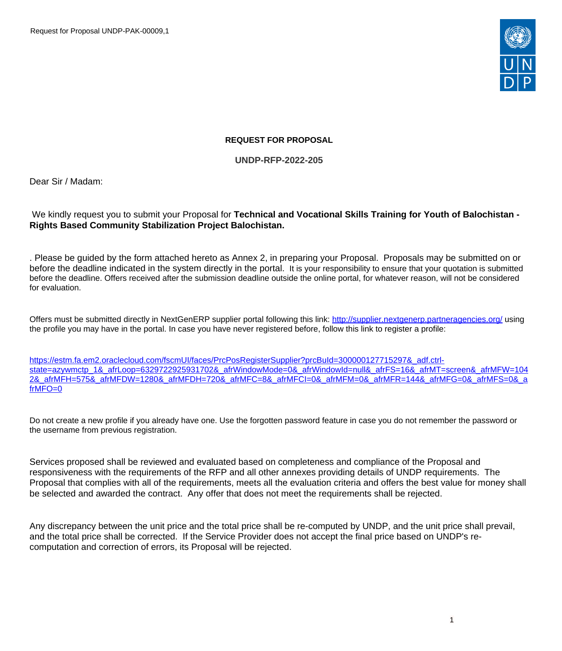

### **REQUEST FOR PROPOSAL**

**UNDP-RFP-2022-205**

Dear Sir / Madam:

### We kindly request you to submit your Proposal for **Technical and Vocational Skills Training for Youth of Balochistan - Rights Based Community Stabilization Project Balochistan.**

. Please be guided by the form attached hereto as Annex 2, in preparing your Proposal. Proposals may be submitted on or before the deadline indicated in the system directly in the portal. It is your responsibility to ensure that your quotation is submitted before the deadline. Offers received after the submission deadline outside the online portal, for whatever reason, will not be considered for evaluation.

Offers must be submitted directly in NextGenERP supplier portal following this link:<http://supplier.nextgenerp.partneragencies.org/>using the profile you may have in the portal. In case you have never registered before, follow this link to register a profile:

[https://estm.fa.em2.oraclecloud.com/fscmUI/faces/PrcPosRegisterSupplier?prcBuId=300000127715297&\\_adf.ctrl](https://estm.fa.em2.oraclecloud.com/fscmUI/faces/PrcPosRegisterSupplier?prcBuId=300000127715297&_adf.ctrl-state=azywmctp_1&_afrLoop=6329722925931702&_afrWindowMode=0&_afrWindowId=null&_afrFS=16&_afrMT=screen&_afrMFW=1042&_afrMFH=575&_afrMFDW=1280&_afrMFDH=720&_afrMFC=8&_afrMFCI=0&_afrMFM=0&_afrMFR=144&_afrMFG=0&_afrMFS=0&_afrMFO=0)[state=azywmctp\\_1&\\_afrLoop=6329722925931702&\\_afrWindowMode=0&\\_afrWindowId=null&\\_afrFS=16&\\_afrMT=screen&\\_afrMFW=104](https://estm.fa.em2.oraclecloud.com/fscmUI/faces/PrcPosRegisterSupplier?prcBuId=300000127715297&_adf.ctrl-state=azywmctp_1&_afrLoop=6329722925931702&_afrWindowMode=0&_afrWindowId=null&_afrFS=16&_afrMT=screen&_afrMFW=1042&_afrMFH=575&_afrMFDW=1280&_afrMFDH=720&_afrMFC=8&_afrMFCI=0&_afrMFM=0&_afrMFR=144&_afrMFG=0&_afrMFS=0&_afrMFO=0) 2& afrMFH=575& afrMFDW=1280& afrMFDH=720& afrMFC=8& afrMFCI=0& afrMFM=0& afrMFR=144& afrMFG=0& afrMFS=0& a [frMFO=0](https://estm.fa.em2.oraclecloud.com/fscmUI/faces/PrcPosRegisterSupplier?prcBuId=300000127715297&_adf.ctrl-state=azywmctp_1&_afrLoop=6329722925931702&_afrWindowMode=0&_afrWindowId=null&_afrFS=16&_afrMT=screen&_afrMFW=1042&_afrMFH=575&_afrMFDW=1280&_afrMFDH=720&_afrMFC=8&_afrMFCI=0&_afrMFM=0&_afrMFR=144&_afrMFG=0&_afrMFS=0&_afrMFO=0)

Do not create a new profile if you already have one. Use the forgotten password feature in case you do not remember the password or the username from previous registration.

Services proposed shall be reviewed and evaluated based on completeness and compliance of the Proposal and responsiveness with the requirements of the RFP and all other annexes providing details of UNDP requirements. The Proposal that complies with all of the requirements, meets all the evaluation criteria and offers the best value for money shall be selected and awarded the contract. Any offer that does not meet the requirements shall be rejected.

Any discrepancy between the unit price and the total price shall be re-computed by UNDP, and the unit price shall prevail, and the total price shall be corrected. If the Service Provider does not accept the final price based on UNDP's recomputation and correction of errors, its Proposal will be rejected.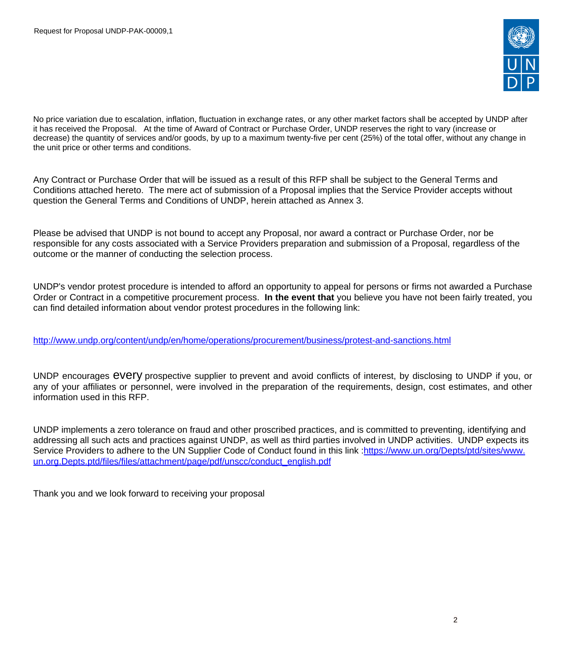

No price variation due to escalation, inflation, fluctuation in exchange rates, or any other market factors shall be accepted by UNDP after it has received the Proposal. At the time of Award of Contract or Purchase Order, UNDP reserves the right to vary (increase or decrease) the quantity of services and/or goods, by up to a maximum twenty-five per cent (25%) of the total offer, without any change in the unit price or other terms and conditions.

Any Contract or Purchase Order that will be issued as a result of this RFP shall be subject to the General Terms and Conditions attached hereto. The mere act of submission of a Proposal implies that the Service Provider accepts without question the General Terms and Conditions of UNDP, herein attached as Annex 3.

Please be advised that UNDP is not bound to accept any Proposal, nor award a contract or Purchase Order, nor be responsible for any costs associated with a Service Providers preparation and submission of a Proposal, regardless of the outcome or the manner of conducting the selection process.

UNDP's vendor protest procedure is intended to afford an opportunity to appeal for persons or firms not awarded a Purchase Order or Contract in a competitive procurement process. **In the event that** you believe you have not been fairly treated, you can find detailed information about vendor protest procedures in the following link:

<http://www.undp.org/content/undp/en/home/operations/procurement/business/protest-and-sanctions.html>

UNDP encourages every prospective supplier to prevent and avoid conflicts of interest, by disclosing to UNDP if you, or any of your affiliates or personnel, were involved in the preparation of the requirements, design, cost estimates, and other information used in this RFP.

UNDP implements a zero tolerance on fraud and other proscribed practices, and is committed to preventing, identifying and addressing all such acts and practices against UNDP, as well as third parties involved in UNDP activities. UNDP expects its Service Providers to adhere to the UN Supplier Code of Conduct found in this link :[https://www.un.org/Depts/ptd/sites/www.](https://www.un.org/Depts/ptd/sites/www.un.org.Depts.ptd/files/files/attachment/page/pdf/unscc/conduct_english.pdf) [un.org.Depts.ptd/files/files/attachment/page/pdf/unscc/conduct\\_english.pdf](https://www.un.org/Depts/ptd/sites/www.un.org.Depts.ptd/files/files/attachment/page/pdf/unscc/conduct_english.pdf)

Thank you and we look forward to receiving your proposal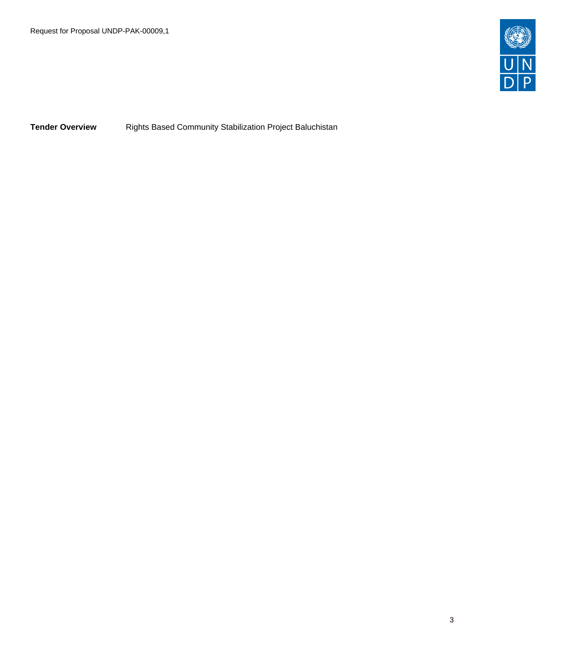

**Tender Overview Rights Based Community Stabilization Project Baluchistan**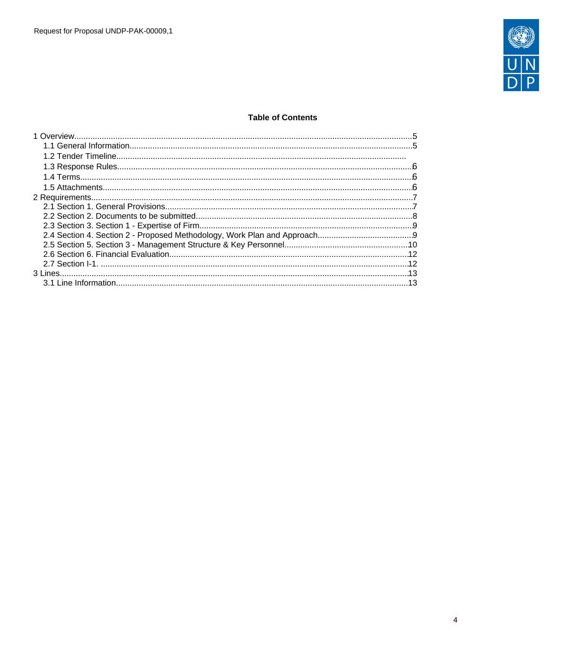

## **Table of Contents**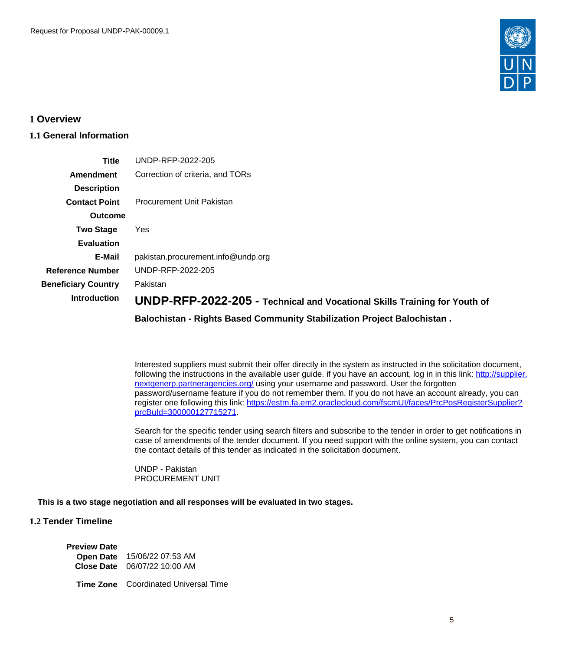

### <span id="page-4-0"></span>**1 Overview**

## <span id="page-4-1"></span>**1.1 General Information**

| Title                      | UNDP-RFP-2022-205                                                         |
|----------------------------|---------------------------------------------------------------------------|
| Amendment                  | Correction of criteria, and TORs                                          |
| <b>Description</b>         |                                                                           |
| <b>Contact Point</b>       | Procurement Unit Pakistan                                                 |
| <b>Outcome</b>             |                                                                           |
| <b>Two Stage</b>           | Yes                                                                       |
| <b>Evaluation</b>          |                                                                           |
| E-Mail                     | pakistan.procurement.info@undp.org                                        |
| <b>Reference Number</b>    | UNDP-RFP-2022-205                                                         |
| <b>Beneficiary Country</b> | Pakistan                                                                  |
| <b>Introduction</b>        | UNDP-RFP-2022-205 - Technical and Vocational Skills Training for Youth of |
|                            | Balochistan - Rights Based Community Stabilization Project Balochistan.   |

Interested suppliers must submit their offer directly in the system as instructed in the solicitation document, following the instructions in the available user guide. if you have an account, log in in this link: [http://supplier.](http://supplier.nextgenerp.partneragencies.org/) [nextgenerp.partneragencies.org/](http://supplier.nextgenerp.partneragencies.org/) using your username and password. User the forgotten password/username feature if you do not remember them. If you do not have an account already, you can register one following this link: [https://estm.fa.em2.oraclecloud.com/fscmUI/faces/PrcPosRegisterSupplier?](https://estm.fa.em2.oraclecloud.com/fscmUI/faces/PrcPosRegisterSupplier?prcBuId=300000127715271) [prcBuId=300000127715271.](https://estm.fa.em2.oraclecloud.com/fscmUI/faces/PrcPosRegisterSupplier?prcBuId=300000127715271)

Search for the specific tender using search filters and subscribe to the tender in order to get notifications in case of amendments of the tender document. If you need support with the online system, you can contact the contact details of this tender as indicated in the solicitation document.

UNDP - Pakistan PROCUREMENT UNIT

### **This is a two stage negotiation and all responses will be evaluated in two stages.**

### **1.2 Tender Timeline**

**Preview Date**

**Open Date** 15/06/22 07:53 AM **Close Date** 06/07/22 10:00 AM

**Time Zone** Coordinated Universal Time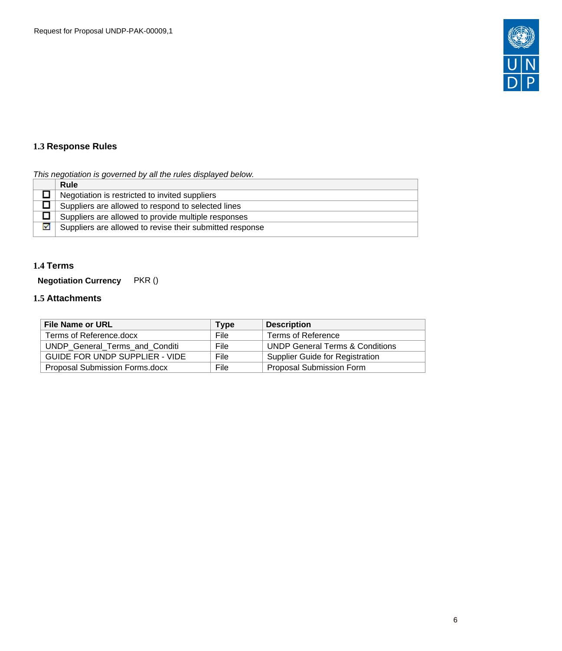

# <span id="page-5-0"></span>**1.3 Response Rules**

## This negotiation is governed by all the rules displayed below.

|   | Rule                                                     |
|---|----------------------------------------------------------|
|   | Negotiation is restricted to invited suppliers           |
|   | Suppliers are allowed to respond to selected lines       |
|   | Suppliers are allowed to provide multiple responses      |
| 罓 | Suppliers are allowed to revise their submitted response |

## <span id="page-5-1"></span>**1.4 Terms**

**Negotiation Currency** PKR ()

## <span id="page-5-2"></span>**1.5 Attachments**

| <b>File Name or URL</b>               | <b>Type</b> | <b>Description</b>                         |
|---------------------------------------|-------------|--------------------------------------------|
| Terms of Reference.docx               | File        | Terms of Reference                         |
| UNDP General Terms and Conditi        | File        | <b>UNDP General Terms &amp; Conditions</b> |
| <b>GUIDE FOR UNDP SUPPLIER - VIDE</b> | File        | Supplier Guide for Registration            |
| Proposal Submission Forms.docx        | File        | <b>Proposal Submission Form</b>            |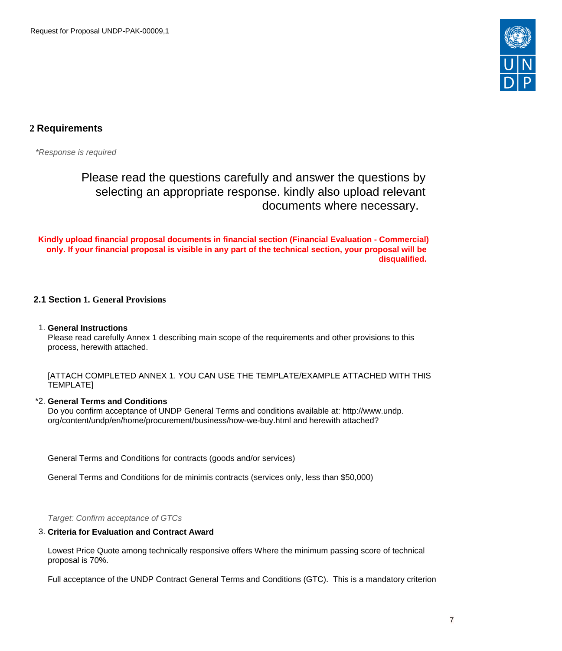

# <span id="page-6-0"></span>**2 Requirements**

\*Response is required

Please read the questions carefully and answer the questions by selecting an appropriate response. kindly also upload relevant documents where necessary.

**Kindly upload financial proposal documents in financial section (Financial Evaluation - Commercial) only. If your financial proposal is visible in any part of the technical section, your proposal will be disqualified.** 

### <span id="page-6-1"></span>**2.1 Section 1. General Provisions**

#### 1. **General Instructions**

Please read carefully Annex 1 describing main scope of the requirements and other provisions to this process, herewith attached.

[ATTACH COMPLETED ANNEX 1. YOU CAN USE THE TEMPLATE/EXAMPLE ATTACHED WITH THIS TEMPLATE]

#### \*2. **General Terms and Conditions**

Do you confirm acceptance of UNDP General Terms and conditions available at: http://www.undp. org/content/undp/en/home/procurement/business/how-we-buy.html and herewith attached?

General Terms and Conditions for contracts (goods and/or services)

General Terms and Conditions for de minimis contracts (services only, less than \$50,000)

Target: Confirm acceptance of GTCs

#### 3. **Criteria for Evaluation and Contract Award**

Lowest Price Quote among technically responsive offers Where the minimum passing score of technical proposal is 70%.

Full acceptance of the UNDP Contract General Terms and Conditions (GTC). This is a mandatory criterion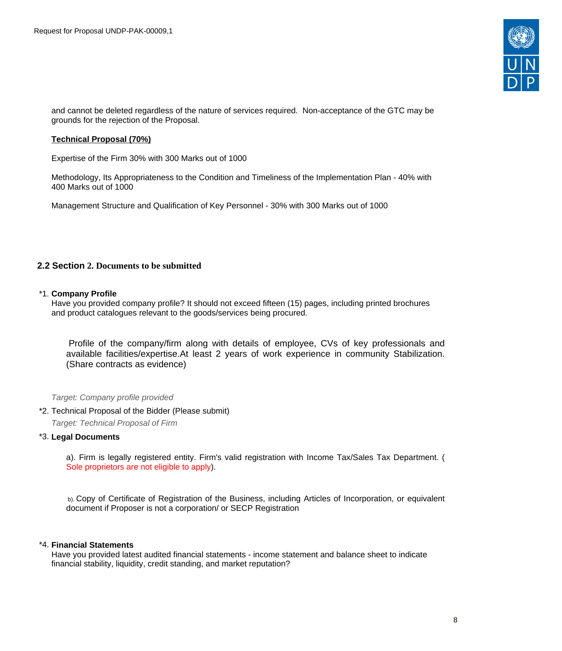

and cannot be deleted regardless of the nature of services required. Non-acceptance of the GTC may be grounds for the rejection of the Proposal.

#### **Technical Proposal (70%)**

Expertise of the Firm 30% with 300 Marks out of 1000

Methodology, Its Appropriateness to the Condition and Timeliness of the Implementation Plan - 40% with 400 Marks out of 1000

Management Structure and Qualification of Key Personnel - 30% with 300 Marks out of 1000

### <span id="page-7-0"></span>**2.2 Section 2. Documents to be submitted**

#### \*1. **Company Profile**

Have you provided company profile? It should not exceed fifteen (15) pages, including printed brochures and product catalogues relevant to the goods/services being procured.

Profile of the company/firm along with details of employee, CVs of key professionals and available facilities/expertise.At least 2 years of work experience in community Stabilization. (Share contracts as evidence)

#### Target: Company profile provided

\*2. Technical Proposal of the Bidder (Please submit)

Target: Technical Proposal of Firm

#### \*3. **Legal Documents**

a). Firm is legally registered entity. Firm's valid registration with Income Tax/Sales Tax Department. ( Sole proprietors are not eligible to apply).

 b). Copy of Certificate of Registration of the Business, including Articles of Incorporation, or equivalent document if Proposer is not a corporation/ or SECP Registration

#### \*4. **Financial Statements**

Have you provided latest audited financial statements - income statement and balance sheet to indicate financial stability, liquidity, credit standing, and market reputation?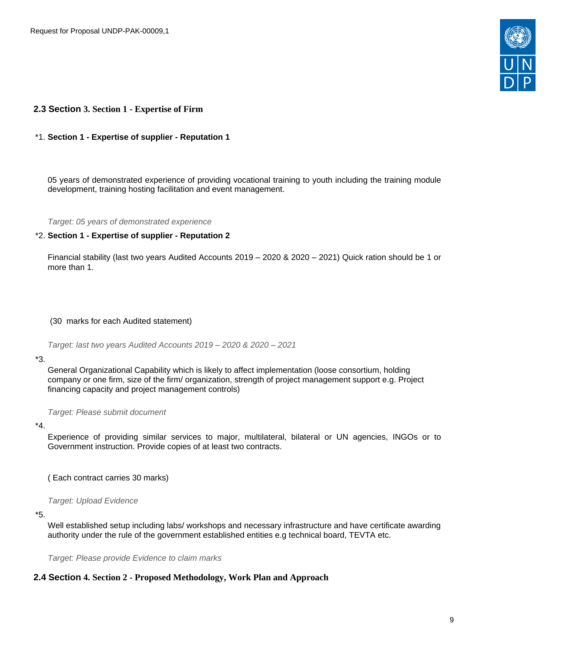

### <span id="page-8-0"></span>**2.3 Section 3. Section 1 - Expertise of Firm**

#### \*1. **Section 1 - Expertise of supplier - Reputation 1**

05 years of demonstrated experience of providing vocational training to youth including the training module development, training hosting facilitation and event management.

Target: 05 years of demonstrated experience

#### \*2. **Section 1 - Expertise of supplier - Reputation 2**

Financial stability (last two years Audited Accounts 2019 – 2020 & 2020 – 2021) Quick ration should be 1 or more than 1.

(30 marks for each Audited statement)

Target: last two years Audited Accounts 2019 – 2020 & 2020 – 2021

#### \*3.

General Organizational Capability which is likely to affect implementation (loose consortium, holding company or one firm, size of the firm/ organization, strength of project management support e.g. Project financing capacity and project management controls)

Target: Please submit document

#### \*4.

Experience of providing similar services to major, multilateral, bilateral or UN agencies, INGOs or to Government instruction. Provide copies of at least two contracts.

( Each contract carries 30 marks)

Target: Upload Evidence

#### \*5.

Well established setup including labs/ workshops and necessary infrastructure and have certificate awarding authority under the rule of the government established entities e.g technical board, TEVTA etc.

Target: Please provide Evidence to claim marks

### <span id="page-8-1"></span>**2.4 Section 4. Section 2 - Proposed Methodology, Work Plan and Approach**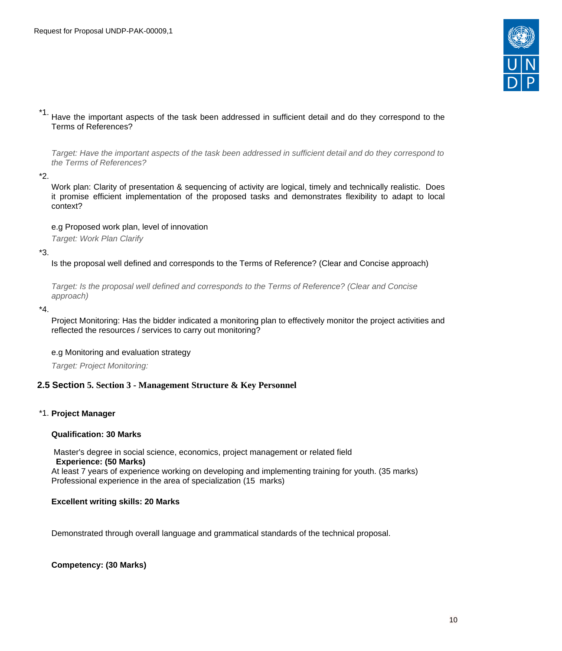

\*1. Have the important aspects of the task been addressed in sufficient detail and do they correspond to the Terms of References?

Target: Have the important aspects of the task been addressed in sufficient detail and do they correspond to the Terms of References?

\*2.

Work plan: Clarity of presentation & sequencing of activity are logical, timely and technically realistic. Does it promise efficient implementation of the proposed tasks and demonstrates flexibility to adapt to local context?

e.g Proposed work plan, level of innovation

Target: Work Plan Clarify

\*3.

Is the proposal well defined and corresponds to the Terms of Reference? (Clear and Concise approach)

Target: Is the proposal well defined and corresponds to the Terms of Reference? (Clear and Concise approach)

\*4.

Project Monitoring: Has the bidder indicated a monitoring plan to effectively monitor the project activities and reflected the resources / services to carry out monitoring?

#### e.g Monitoring and evaluation strategy

Target: Project Monitoring:

### <span id="page-9-0"></span>**2.5 Section 5. Section 3 - Management Structure & Key Personnel**

### \*1. **Project Manager**

#### **Qualification: 30 Marks**

 Master's degree in social science, economics, project management or related field  **Experience: (50 Marks)**  At least 7 years of experience working on developing and implementing training for youth. (35 marks) Professional experience in the area of specialization (15 marks)

### **Excellent writing skills: 20 Marks**

Demonstrated through overall language and grammatical standards of the technical proposal.

### **Competency: (30 Marks)**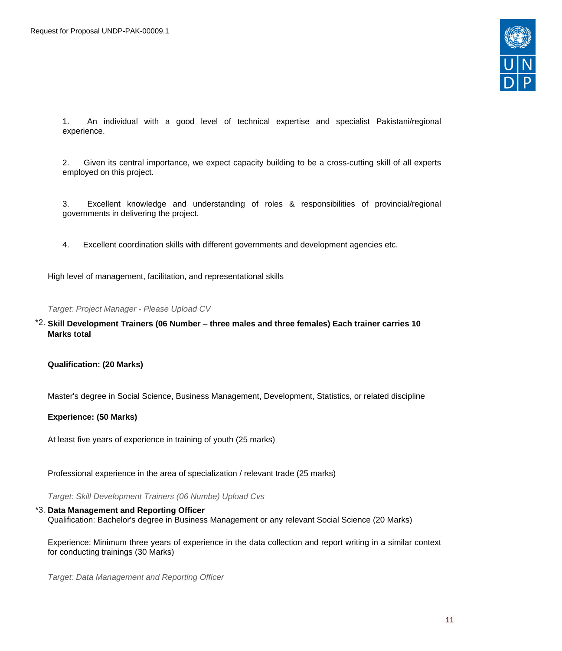

1. An individual with a good level of technical expertise and specialist Pakistani/regional experience.

2. Given its central importance, we expect capacity building to be a cross-cutting skill of all experts employed on this project.

3. Excellent knowledge and understanding of roles & responsibilities of provincial/regional governments in delivering the project.

4. Excellent coordination skills with different governments and development agencies etc.

High level of management, facilitation, and representational skills

Target: Project Manager - Please Upload CV

\*2. **Skill Development Trainers (06 Number** – **three males and three females) Each trainer carries 10 Marks total**

**Qualification: (20 Marks)**

Master's degree in Social Science, Business Management, Development, Statistics, or related discipline

**Experience: (50 Marks)**

At least five years of experience in training of youth (25 marks)

Professional experience in the area of specialization / relevant trade (25 marks)

Target: Skill Development Trainers (06 Numbe) Upload Cvs

#### \*3. **Data Management and Reporting Officer**

Qualification: Bachelor's degree in Business Management or any relevant Social Science (20 Marks)

Experience: Minimum three years of experience in the data collection and report writing in a similar context for conducting trainings (30 Marks)

Target: Data Management and Reporting Officer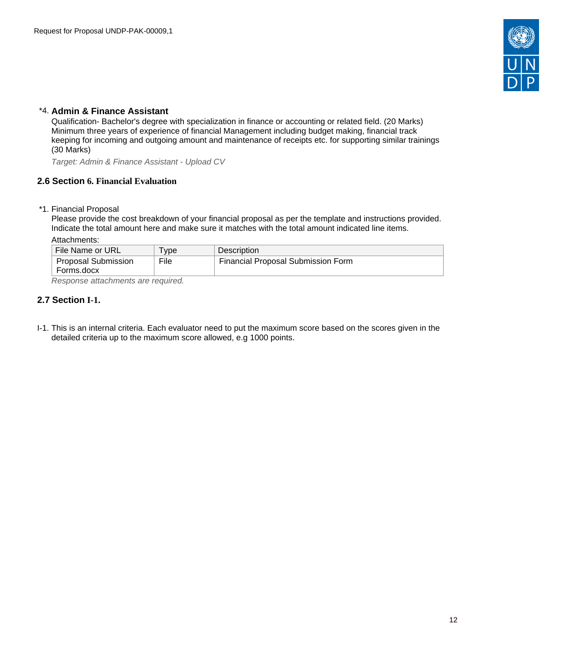

## \*4. **Admin & Finance Assistant**

Qualification- Bachelor's degree with specialization in finance or accounting or related field. (20 Marks) Minimum three years of experience of financial Management including budget making, financial track keeping for incoming and outgoing amount and maintenance of receipts etc. for supporting similar trainings (30 Marks)

Target: Admin & Finance Assistant - Upload CV

### <span id="page-11-0"></span>**2.6 Section 6. Financial Evaluation**

\*1. Financial Proposal

Please provide the cost breakdown of your financial proposal as per the template and instructions provided. Indicate the total amount here and make sure it matches with the total amount indicated line items.

Attachments:

| File Name or URL    | ' ype | <b>Description</b>                 |  |  |
|---------------------|-------|------------------------------------|--|--|
| Proposal Submission | File  | Financial Proposal Submission Form |  |  |
| Forms.docx          |       |                                    |  |  |
|                     |       |                                    |  |  |

Response attachments are required*.*

### <span id="page-11-1"></span>**2.7 Section I-1.**

I-1. This is an internal criteria. Each evaluator need to put the maximum score based on the scores given in the detailed criteria up to the maximum score allowed, e.g 1000 points.